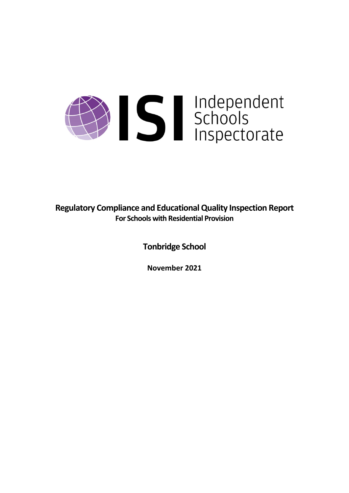# Sudependent

**Regulatory Compliance and EducationalQuality Inspection Report For Schools with Residential Provision**

**Tonbridge School**

**November 2021**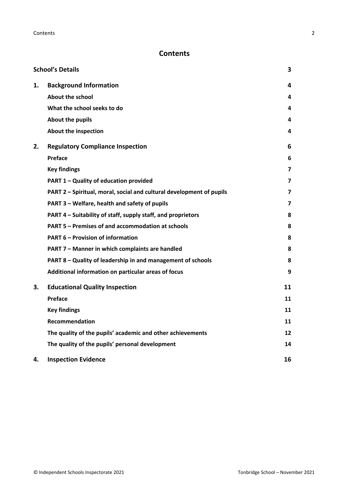# **Contents**

| <b>School's Details</b> |                                                                      |    |
|-------------------------|----------------------------------------------------------------------|----|
| 1.                      | <b>Background Information</b>                                        | 4  |
|                         | <b>About the school</b>                                              | 4  |
|                         | What the school seeks to do                                          | 4  |
|                         | <b>About the pupils</b>                                              | 4  |
|                         | <b>About the inspection</b>                                          | 4  |
| 2.                      | <b>Regulatory Compliance Inspection</b>                              | 6  |
|                         | Preface                                                              | 6  |
|                         | <b>Key findings</b>                                                  | 7  |
|                         | PART 1 - Quality of education provided                               | 7  |
|                         | PART 2 - Spiritual, moral, social and cultural development of pupils | 7  |
|                         | PART 3 – Welfare, health and safety of pupils                        | 7  |
|                         | PART 4 – Suitability of staff, supply staff, and proprietors         | 8  |
|                         | PART 5 - Premises of and accommodation at schools                    | 8  |
|                         | <b>PART 6 - Provision of information</b>                             | 8  |
|                         | PART 7 - Manner in which complaints are handled                      | 8  |
|                         | PART 8 - Quality of leadership in and management of schools          | 8  |
|                         | Additional information on particular areas of focus                  | 9  |
| 3.                      | <b>Educational Quality Inspection</b>                                | 11 |
|                         | Preface                                                              | 11 |
|                         | <b>Key findings</b>                                                  | 11 |
|                         | Recommendation                                                       | 11 |
|                         | The quality of the pupils' academic and other achievements           | 12 |
|                         | The quality of the pupils' personal development                      | 14 |
| 4.                      | <b>Inspection Evidence</b>                                           | 16 |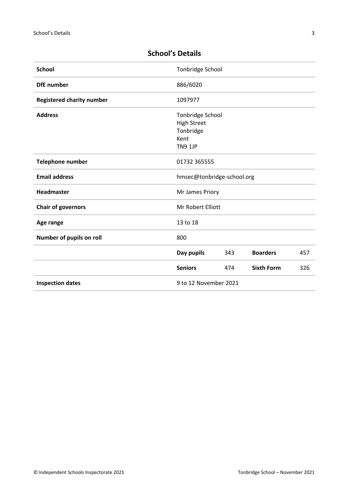| <b>School</b>                    | Tonbridge School           |     |                   |     |
|----------------------------------|----------------------------|-----|-------------------|-----|
| <b>DfE</b> number                | 886/6020                   |     |                   |     |
| <b>Registered charity number</b> | 1097977                    |     |                   |     |
| <b>Address</b>                   | Tonbridge School           |     |                   |     |
|                                  | <b>High Street</b>         |     |                   |     |
|                                  | Tonbridge                  |     |                   |     |
|                                  | Kent                       |     |                   |     |
|                                  | <b>TN9 1JP</b>             |     |                   |     |
| Telephone number                 | 01732 365555               |     |                   |     |
| <b>Email address</b>             | hmsec@tonbridge-school.org |     |                   |     |
| <b>Headmaster</b>                | Mr James Priory            |     |                   |     |
| <b>Chair of governors</b>        | Mr Robert Elliott          |     |                   |     |
| Age range                        | 13 to 18                   |     |                   |     |
| Number of pupils on roll         | 800                        |     |                   |     |
|                                  | Day pupils                 | 343 | <b>Boarders</b>   | 457 |
|                                  | <b>Seniors</b>             | 474 | <b>Sixth Form</b> | 326 |
| <b>Inspection dates</b>          | 9 to 12 November 2021      |     |                   |     |

# <span id="page-2-0"></span>**School's Details**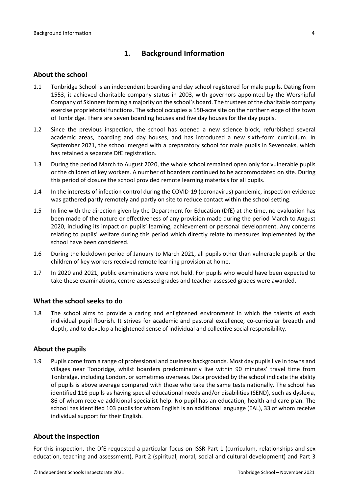# <span id="page-3-0"></span>**1. Background Information**

### <span id="page-3-1"></span>**About the school**

- 1.1 Tonbridge School is an independent boarding and day school registered for male pupils. Dating from 1553, it achieved charitable company status in 2003, with governors appointed by the Worshipful Company of Skinnersforming a majority on the school's board. The trustees of the charitable company exercise proprietorial functions. The school occupies a 150-acre site on the northern edge of the town of Tonbridge. There are seven boarding houses and five day houses for the day pupils.
- 1.2 Since the previous inspection, the school has opened a new science block, refurbished several academic areas, boarding and day houses, and has introduced a new sixth-form curriculum. In September 2021, the school merged with a preparatory school for male pupils in Sevenoaks, which has retained a separate DfE registration.
- 1.3 During the period March to August 2020, the whole school remained open only for vulnerable pupils or the children of key workers. A number of boarders continued to be accommodated on site. During this period of closure the school provided remote learning materials for all pupils.
- 1.4 In the interests of infection control during the COVID-19 (coronavirus) pandemic, inspection evidence was gathered partly remotely and partly on site to reduce contact within the school setting.
- 1.5 In line with the direction given by the Department for Education (DfE) at the time, no evaluation has been made of the nature or effectiveness of any provision made during the period March to August 2020, including its impact on pupils' learning, achievement or personal development. Any concerns relating to pupils' welfare during this period which directly relate to measures implemented by the school have been considered.
- 1.6 During the lockdown period of January to March 2021, all pupils other than vulnerable pupils or the children of key workers received remote learning provision at home.
- 1.7 In 2020 and 2021, public examinations were not held. For pupils who would have been expected to take these examinations, centre-assessed grades and teacher-assessed grades were awarded.

### <span id="page-3-2"></span>**What the school seeks to do**

1.8 The school aims to provide a caring and enlightened environment in which the talents of each individual pupil flourish. It strives for academic and pastoral excellence, co-curricular breadth and depth, and to develop a heightened sense of individual and collective social responsibility.

### <span id="page-3-3"></span>**About the pupils**

1.9 Pupils come from a range of professional and business backgrounds. Most day pupils live in towns and villages near Tonbridge, whilst boarders predominantly live within 90 minutes' travel time from Tonbridge, including London, or sometimes overseas. Data provided by the school indicate the ability of pupils is above average compared with those who take the same tests nationally. The school has identified 116 pupils as having special educational needs and/or disabilities (SEND), such as dyslexia, 86 of whom receive additional specialist help. No pupil has an education, health and care plan. The school has identified 103 pupils for whom English is an additional language (EAL), 33 of whom receive individual support for their English.

### <span id="page-3-4"></span>**About the inspection**

For this inspection, the DfE requested a particular focus on ISSR Part 1 (curriculum, relationships and sex education, teaching and assessment), Part 2 (spiritual, moral, social and cultural development) and Part 3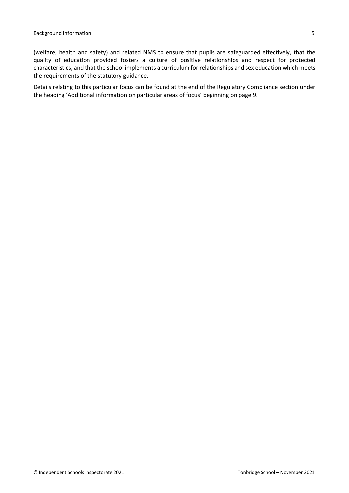(welfare, health and safety) and related NMS to ensure that pupils are safeguarded effectively, that the quality of education provided fosters a culture of positive relationships and respect for protected characteristics, and that the school implements a curriculum for relationships and sex education which meets the requirements of the statutory guidance.

Details relating to this particular focus can be found at the end of the Regulatory Compliance section under the heading 'Additional [information](#page-8-0) on particular areas of focus' beginning on page 9.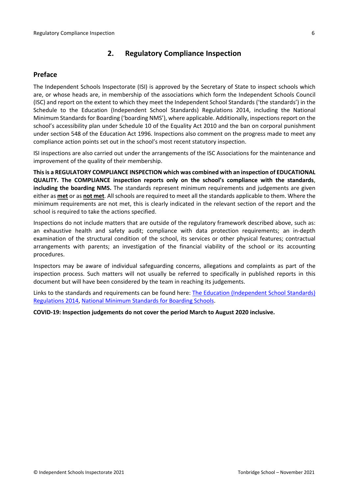# <span id="page-5-0"></span>**2. Regulatory Compliance Inspection**

### <span id="page-5-1"></span>**Preface**

The Independent Schools Inspectorate (ISI) is approved by the Secretary of State to inspect schools which are, or whose heads are, in membership of the associations which form the Independent Schools Council (ISC) and report on the extent to which they meet the Independent School Standards ('the standards') in the Schedule to the Education (Independent School Standards) Regulations 2014, including the National Minimum Standards for Boarding ('boarding NMS'), where applicable. Additionally, inspections report on the school's accessibility plan under Schedule 10 of the Equality Act 2010 and the ban on corporal punishment under section 548 of the Education Act 1996. Inspections also comment on the progress made to meet any compliance action points set out in the school's most recent statutory inspection.

ISI inspections are also carried out under the arrangements of the ISC Associations for the maintenance and improvement of the quality of their membership.

**Thisis a REGULATORY COMPLIANCE INSPECTION which was combined with an inspection of EDUCATIONAL QUALITY. The COMPLIANCE inspection reports only on the school's compliance with the standards**, **including the boarding NMS.** The standards represent minimum requirements and judgements are given either as **met** or as **not met**. All schools are required to meet all the standards applicable to them. Where the minimum requirements are not met, this is clearly indicated in the relevant section of the report and the school is required to take the actions specified.

Inspections do not include matters that are outside of the regulatory framework described above, such as: an exhaustive health and safety audit; compliance with data protection requirements; an in-depth examination of the structural condition of the school, its services or other physical features; contractual arrangements with parents; an investigation of the financial viability of the school or its accounting procedures.

Inspectors may be aware of individual safeguarding concerns, allegations and complaints as part of the inspection process. Such matters will not usually be referred to specifically in published reports in this document but will have been considered by the team in reaching its judgements.

Links to the standards and requirements can be found here: The Education [\(Independent](http://www.legislation.gov.uk/uksi/2014/3283/contents/made) School Standards) [Regulations](http://www.legislation.gov.uk/uksi/2014/3283/contents/made) 2014, National Minimum [Standards](https://www.gov.uk/government/uploads/system/uploads/attachment_data/file/416186/20150319_nms_bs_standards.pdf) for Boarding Schools.

**COVID-19: Inspection judgements do not cover the period March to August 2020 inclusive.**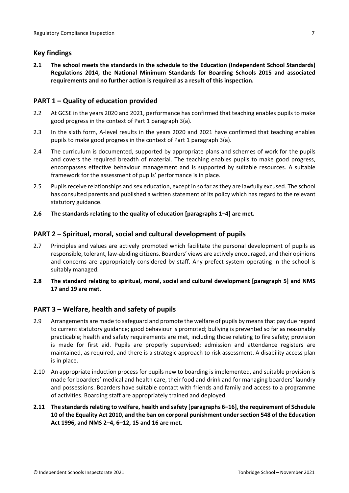# <span id="page-6-0"></span>**Key findings**

**2.1 The school meets the standards in the schedule to the Education (Independent School Standards) Regulations 2014, the National Minimum Standards for Boarding Schools 2015 and associated requirements and no further action is required as a result of this inspection.**

# <span id="page-6-1"></span>**PART 1 – Quality of education provided**

- 2.2 At GCSE in the years 2020 and 2021, performance has confirmed that teaching enables pupils to make good progress in the context of Part 1 paragraph 3(a).
- 2.3 In the sixth form, A-level results in the years 2020 and 2021 have confirmed that teaching enables pupils to make good progress in the context of Part 1 paragraph 3(a).
- 2.4 The curriculum is documented, supported by appropriate plans and schemes of work for the pupils and covers the required breadth of material. The teaching enables pupils to make good progress, encompasses effective behaviour management and is supported by suitable resources. A suitable framework for the assessment of pupils' performance is in place.
- 2.5 Pupils receive relationships and sex education, except in so far as they are lawfully excused. The school has consulted parents and published a written statement of its policy which has regard to the relevant statutory guidance.
- **2.6 The standards relating to the quality of education [paragraphs 1–4] are met.**

# <span id="page-6-2"></span>**PART 2 – Spiritual, moral, social and cultural development of pupils**

- 2.7 Principles and values are actively promoted which facilitate the personal development of pupils as responsible, tolerant, law-abiding citizens. Boarders' views are actively encouraged, and their opinions and concerns are appropriately considered by staff. Any prefect system operating in the school is suitably managed.
- **2.8 The standard relating to spiritual, moral, social and cultural development [paragraph 5] and NMS 17 and 19 are met.**

# <span id="page-6-3"></span>**PART 3 – Welfare, health and safety of pupils**

- 2.9 Arrangements are made to safeguard and promote the welfare of pupils by means that pay due regard to current statutory guidance; good behaviour is promoted; bullying is prevented so far as reasonably practicable; health and safety requirements are met, including those relating to fire safety; provision is made for first aid. Pupils are properly supervised; admission and attendance registers are maintained, as required, and there is a strategic approach to risk assessment. A disability access plan is in place.
- 2.10 An appropriate induction process for pupils new to boarding is implemented, and suitable provision is made for boarders' medical and health care, their food and drink and for managing boarders' laundry and possessions. Boarders have suitable contact with friends and family and access to a programme of activities. Boarding staff are appropriately trained and deployed.
- **2.11 The standardsrelating to welfare, health and safety [paragraphs 6–16], the requirement of Schedule 10 of the Equality Act 2010, and the ban on corporal punishment undersection 548 of the Education Act 1996, and NMS 2–4, 6–12, 15 and 16 are met.**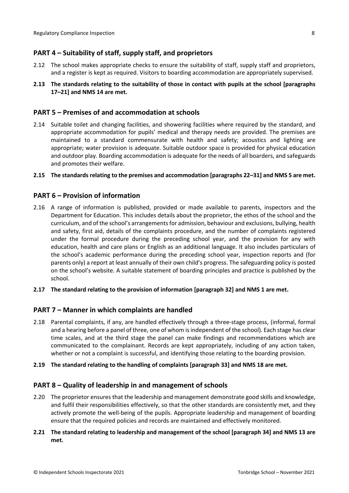# <span id="page-7-0"></span>**PART 4 – Suitability of staff, supply staff, and proprietors**

- 2.12 The school makes appropriate checks to ensure the suitability of staff, supply staff and proprietors, and a register is kept as required. Visitors to boarding accommodation are appropriately supervised.
- **2.13 The standards relating to the suitability of those in contact with pupils at the school [paragraphs 17–21] and NMS 14 are met.**

### <span id="page-7-1"></span>**PART 5 – Premises of and accommodation at schools**

- 2.14 Suitable toilet and changing facilities, and showering facilities where required by the standard, and appropriate accommodation for pupils' medical and therapy needs are provided. The premises are maintained to a standard commensurate with health and safety; acoustics and lighting are appropriate; water provision is adequate. Suitable outdoor space is provided for physical education and outdoor play. Boarding accommodation is adequate for the needs of all boarders, and safeguards and promotes their welfare.
- **2.15 The standardsrelating to the premises and accommodation [paragraphs 22–31] and NMS 5 are met.**

### <span id="page-7-2"></span>**PART 6 – Provision of information**

- 2.16 A range of information is published, provided or made available to parents, inspectors and the Department for Education. This includes details about the proprietor, the ethos of the school and the curriculum, and of the school's arrangementsfor admission, behaviour and exclusions, bullying, health and safety, first aid, details of the complaints procedure, and the number of complaints registered under the formal procedure during the preceding school year, and the provision for any with education, health and care plans or English as an additional language. It also includes particulars of the school's academic performance during the preceding school year, inspection reports and (for parents only) a report at least annually of their own child's progress. The safeguarding policy is posted on the school's website. A suitable statement of boarding principles and practice is published by the school.
- **2.17 The standard relating to the provision of information [paragraph 32] and NMS 1 are met.**

### <span id="page-7-3"></span>**PART 7 – Manner in which complaints are handled**

2.18 Parental complaints, if any, are handled effectively through a three-stage process, (informal, formal and a hearing before a panel of three, one of whom is independent of the school). Each stage has clear time scales, and at the third stage the panel can make findings and recommendations which are communicated to the complainant. Records are kept appropriately, including of any action taken, whether or not a complaint is successful, and identifying those relating to the boarding provision.

### **2.19 The standard relating to the handling of complaints [paragraph 33] and NMS 18 are met.**

### <span id="page-7-4"></span>**PART 8 – Quality of leadership in and management of schools**

2.20 The proprietor ensures that the leadership and management demonstrate good skills and knowledge, and fulfil their responsibilities effectively, so that the other standards are consistently met, and they actively promote the well-being of the pupils. Appropriate leadership and management of boarding ensure that the required policies and records are maintained and effectively monitored.

### **2.21 The standard relating to leadership and management of the school [paragraph 34] and NMS 13 are met.**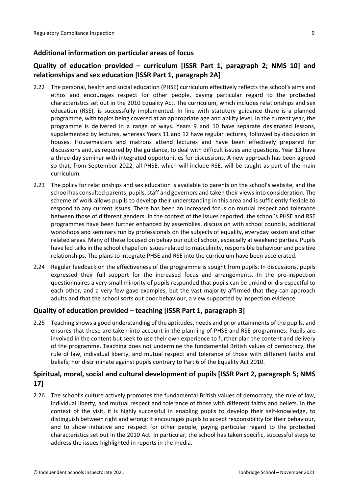# <span id="page-8-0"></span>**Additional information on particular areas of focus**

# **Quality of education provided – curriculum [ISSR Part 1, paragraph 2; NMS 10] and relationships and sex education [ISSR Part 1, paragraph 2A]**

- 2.22 The personal, health and social education (PHSE) curriculum effectively reflects the school's aims and ethos and encourages respect for other people, paying particular regard to the protected characteristics set out in the 2010 Equality Act. The curriculum, which includes relationships and sex education (RSE), is successfully implemented. In line with statutory guidance there is a planned programme, with topics being covered at an appropriate age and ability level. In the current year, the programme is delivered in a range of ways. Years 9 and 10 have separate designated lessons, supplemented by lectures, whereas Years 11 and 12 have regular lectures, followed by discussion in houses. Housemasters and matrons attend lectures and have been effectively prepared for discussions and, as required by the guidance, to deal with difficult issues and questions. Year 13 have a three-day seminar with integrated opportunities for discussions. A new approach has been agreed so that, from September 2022, all PHSE, which will include RSE, will be taught as part of the main curriculum.
- 2.23 The policy for relationships and sex education is available to parents on the school's website, and the school has consulted parents, pupils, staff and governors and taken their views into consideration. The scheme of work allows pupils to develop their understanding in this area and is sufficiently flexible to respond to any current issues. There has been an increased focus on mutual respect and tolerance between those of different genders. In the context of the issues reported, the school's PHSE and RSE programmes have been further enhanced by assemblies, discussion with school councils, additional workshops and seminars run by professionals on the subjects of equality, everyday sexism and other related areas. Many of these focused on behaviour out of school, especially at weekend parties. Pupils have led talks in the school chapel on issues related to masculinity, responsible behaviour and positive relationships. The plans to integrate PHSE and RSE into the curriculum have been accelerated.
- 2.24 Regular feedback on the effectiveness of the programme is sought from pupils. In discussions, pupils expressed their full support for the increased focus and arrangements. In the pre-inspection questionnaires a very small minority of pupils responded that pupils can be unkind or disrespectful to each other, and a very few gave examples, but the vast majority affirmed that they can approach adults and that the school sorts out poor behaviour, a view supported by inspection evidence.

# **Quality of education provided – teaching [ISSR Part 1, paragraph 3]**

2.25 Teaching shows a good understanding of the aptitudes, needs and prior attainments of the pupils, and ensures that these are taken into account in the planning of PHSE and RSE programmes. Pupils are involved in the content but seek to use their own experience to further plan the content and delivery of the programme. Teaching does not undermine the fundamental British values of democracy, the rule of law, individual liberty, and mutual respect and tolerance of those with different faiths and beliefs; nor discriminate against pupils contrary to Part 6 of the Equality Act 2010.

# **Spiritual, moral, social and cultural development of pupils [ISSR Part 2, paragraph 5; NMS 17]**

2.26 The school's culture actively promotes the fundamental British values of democracy, the rule of law, individual liberty, and mutual respect and tolerance of those with different faiths and beliefs. In the context of the visit, it is highly successful in enabling pupils to develop their self-knowledge, to distinguish between right and wrong: it encourages pupils to accept responsibility for their behaviour, and to show initiative and respect for other people, paying particular regard to the protected characteristics set out in the 2010 Act. In particular, the school has taken specific, successful steps to address the issues highlighted in reports in the media.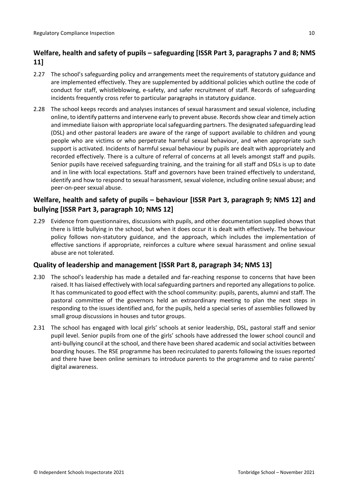# **Welfare, health and safety of pupils – safeguarding [ISSR Part 3, paragraphs 7 and 8; NMS 11]**

- 2.27 The school's safeguarding policy and arrangements meet the requirements of statutory guidance and are implemented effectively. They are supplemented by additional policies which outline the code of conduct for staff, whistleblowing, e-safety, and safer recruitment of staff. Records of safeguarding incidents frequently cross refer to particular paragraphs in statutory guidance.
- 2.28 The school keeps records and analyses instances of sexual harassment and sexual violence, including online, to identify patterns and intervene early to prevent abuse. Recordsshow clear and timely action and immediate liaison with appropriate localsafeguarding partners. The designated safeguarding lead (DSL) and other pastoral leaders are aware of the range of support available to children and young people who are victims or who perpetrate harmful sexual behaviour, and when appropriate such support is activated. Incidents of harmful sexual behaviour by pupils are dealt with appropriately and recorded effectively. There is a culture of referral of concerns at all levels amongst staff and pupils. Senior pupils have received safeguarding training, and the training for all staff and DSLs is up to date and in line with local expectations. Staff and governors have been trained effectively to understand, identify and how to respond to sexual harassment, sexual violence, including online sexual abuse; and peer-on-peer sexual abuse.

# **Welfare, health and safety of pupils – behaviour [ISSR Part 3, paragraph 9; NMS 12] and bullying [ISSR Part 3, paragraph 10; NMS 12]**

2.29 Evidence from questionnaires, discussions with pupils, and other documentation supplied shows that there is little bullying in the school, but when it does occur it is dealt with effectively. The behaviour policy follows non-statutory guidance, and the approach, which includes the implementation of effective sanctions if appropriate, reinforces a culture where sexual harassment and online sexual abuse are not tolerated.

# **Quality of leadership and management [ISSR Part 8, paragraph 34; NMS 13]**

- 2.30 The school's leadership has made a detailed and far-reaching response to concerns that have been raised. It has liaised effectively with local safeguarding partners and reported any allegations to police. It has communicated to good effect with the school community: pupils, parents, alumni and staff. The pastoral committee of the governors held an extraordinary meeting to plan the next steps in responding to the issues identified and, for the pupils, held a special series of assemblies followed by small group discussions in houses and tutor groups.
- 2.31 The school has engaged with local girls' schools at senior leadership, DSL, pastoral staff and senior pupil level. Senior pupils from one of the girls' schools have addressed the lower school council and anti-bullying council at the school, and there have been shared academic and social activities between boarding houses. The RSE programme has been recirculated to parents following the issues reported and there have been online seminars to introduce parents to the programme and to raise parents' digital awareness.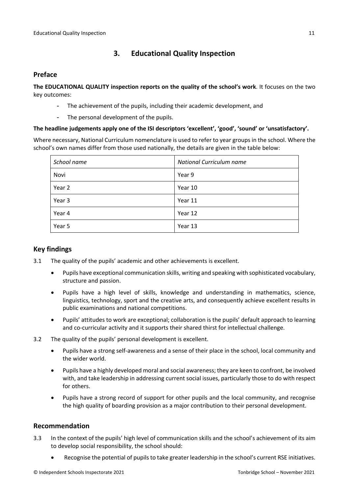# <span id="page-10-0"></span>**3. Educational Quality Inspection**

# <span id="page-10-1"></span>**Preface**

**The EDUCATIONAL QUALITY inspection reports on the quality of the school's work**. It focuses on the two key outcomes:

- The achievement of the pupils, including their academic development, and
- The personal development of the pupils.

### **The headline judgements apply one of the ISI descriptors 'excellent', 'good', 'sound' or 'unsatisfactory'.**

Where necessary, National Curriculum nomenclature is used to refer to year groups in the school. Where the school's own names differ from those used nationally, the details are given in the table below:

| School name | National Curriculum name |  |  |
|-------------|--------------------------|--|--|
| Novi        | Year 9                   |  |  |
| Year 2      | Year 10                  |  |  |
| Year 3      | Year 11                  |  |  |
| Year 4      | Year 12                  |  |  |
| Year 5      | Year 13                  |  |  |

# <span id="page-10-2"></span>**Key findings**

- 3.1 The quality of the pupils' academic and other achievements is excellent.
	- Pupils have exceptional communication skills, writing and speaking with sophisticated vocabulary, structure and passion.
	- Pupils have a high level of skills, knowledge and understanding in mathematics, science, linguistics, technology, sport and the creative arts, and consequently achieve excellent results in public examinations and national competitions.
	- Pupils' attitudes to work are exceptional; collaboration is the pupils' default approach to learning and co-curricular activity and it supports their shared thirst for intellectual challenge.
- 3.2 The quality of the pupils' personal development is excellent.
	- Pupils have a strong self-awareness and a sense of their place in the school, local community and the wider world.
	- Pupils have a highly developed moral and social awareness; they are keen to confront, be involved with, and take leadership in addressing current social issues, particularly those to do with respect for others.
	- Pupils have a strong record of support for other pupils and the local community, and recognise the high quality of boarding provision as a major contribution to their personal development.

### <span id="page-10-3"></span>**Recommendation**

- 3.3 In the context of the pupils' high level of communication skills and the school's achievement of its aim to develop social responsibility, the school should:
	- Recognise the potential of pupils to take greater leadership in the school's current RSE initiatives.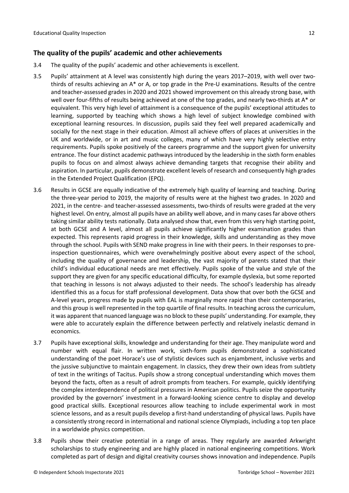### <span id="page-11-0"></span>**The quality of the pupils' academic and other achievements**

- 3.4 The quality of the pupils' academic and other achievements is excellent.
- 3.5 Pupils' attainment at A level was consistently high during the years 2017–2019, with well over twothirds of results achieving an A\* or A, or top grade in the Pre-U examinations. Results of the centre and teacher-assessed grades in 2020 and 2021 showed improvement on this already strong base, with well over four-fifths of results being achieved at one of the top grades, and nearly two-thirds at A\* or equivalent. This very high level of attainment is a consequence of the pupils' exceptional attitudes to learning, supported by teaching which shows a high level of subject knowledge combined with exceptional learning resources. In discussion, pupils said they feel well prepared academically and socially for the next stage in their education. Almost all achieve offers of places at universities in the UK and worldwide, or in art and music colleges, many of which have very highly selective entry requirements. Pupils spoke positively of the careers programme and the support given for university entrance. The four distinct academic pathways introduced by the leadership in the sixth form enables pupils to focus on and almost always achieve demanding targets that recognise their ability and aspiration. In particular, pupils demonstrate excellent levels of research and consequently high grades in the Extended Project Qualification (EPQ).
- 3.6 Results in GCSE are equally indicative of the extremely high quality of learning and teaching. During the three-year period to 2019, the majority of results were at the highest two grades. In 2020 and 2021, in the centre- and teacher-assessed assessments, two-thirds of results were graded at the very highest level. On entry, almost all pupils have an ability well above, and in many casesfar above others taking similar ability tests nationally. Data analysed show that, even from this very high starting point, at both GCSE and A level, almost all pupils achieve significantly higher examination grades than expected. This represents rapid progress in their knowledge, skills and understanding as they move through the school. Pupils with SEND make progress in line with their peers. In their responses to preinspection questionnaires, which were overwhelmingly positive about every aspect of the school, including the quality of governance and leadership, the vast majority of parents stated that their child's individual educational needs are met effectively. Pupils spoke of the value and style of the support they are given for any specific educational difficulty, for example dyslexia, but some reported that teaching in lessons is not always adjusted to their needs. The school's leadership has already identified this as a focus for staff professional development. Data show that over both the GCSE and A-level years, progress made by pupils with EAL is marginally more rapid than their contemporaries, and this group is well represented in the top quartile of final results. In teaching across the curriculum, it was apparent that nuanced language was no block to these pupils' understanding. For example, they were able to accurately explain the difference between perfectly and relatively inelastic demand in economics.
- 3.7 Pupils have exceptional skills, knowledge and understanding for their age. They manipulate word and number with equal flair. In written work, sixth-form pupils demonstrated a sophisticated understanding of the poet Horace's use of stylistic devices such as enjambment, inclusive verbs and the jussive subjunctive to maintain engagement. In classics, they drew their own ideas from subtlety of text in the writings of Tacitus. Pupils show a strong conceptual understanding which moves them beyond the facts, often as a result of adroit prompts from teachers. For example, quickly identifying the complex interdependence of political pressures in American politics. Pupils seize the opportunity provided by the governors' investment in a forward-looking science centre to display and develop good practical skills. Exceptional resources allow teaching to include experimental work in most science lessons, and as a result pupils develop a first-hand understanding of physical laws. Pupils have a consistently strong record in international and national science Olympiads, including a top ten place in a worldwide physics competition.
- 3.8 Pupils show their creative potential in a range of areas. They regularly are awarded Arkwright scholarships to study engineering and are highly placed in national engineering competitions. Work completed as part of design and digital creativity courses shows innovation and independence. Pupils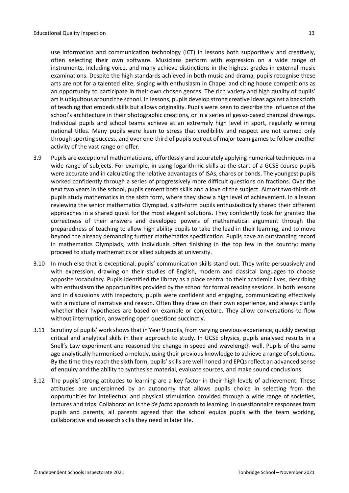use information and communication technology (ICT) in lessons both supportively and creatively, often selecting their own software. Musicians perform with expression on a wide range of instruments, including voice, and many achieve distinctions in the highest grades in external music examinations. Despite the high standards achieved in both music and drama, pupils recognise these arts are not for a talented elite, singing with enthusiasm in Chapel and citing house competitions as an opportunity to participate in their own chosen genres. The rich variety and high quality of pupils' art is ubiquitous around the school. In lessons, pupils develop strong creative ideas against a backcloth of teaching that embeds skills but allows originality. Pupils were keen to describe the influence of the school's architecture in their photographic creations, or in a series of gesso-based charcoal drawings. Individual pupils and school teams achieve at an extremely high level in sport, regularly winning national titles. Many pupils were keen to stress that credibility and respect are not earned only through sporting success, and over one-third of pupils opt out of major team games to follow another activity of the vast range on offer.

- 3.9 Pupils are exceptional mathematicians, effortlessly and accurately applying numerical techniques in a wide range of subjects. For example, in using logarithmic skills at the start of a GCSE course pupils were accurate and in calculating the relative advantages of ISAs, shares or bonds. The youngest pupils worked confidently through a series of progressively more difficult questions on fractions. Over the next two years in the school, pupils cement both skills and a love of the subject. Almost two-thirds of pupils study mathematics in the sixth form, where they show a high level of achievement. In a lesson reviewing the senior mathematics Olympiad, sixth-form pupils enthusiastically shared their different approaches in a shared quest for the most elegant solutions. They confidently took for granted the correctness of their answers and developed powers of mathematical argument through the preparedness of teaching to allow high ability pupils to take the lead in their learning, and to move beyond the already demanding further mathematics specification. Pupils have an outstanding record in mathematics Olympiads, with individuals often finishing in the top few in the country: many proceed to study mathematics or allied subjects at university.
- 3.10 In much else that is exceptional, pupils' communication skills stand out. They write persuasively and with expression, drawing on their studies of English, modern and classical languages to choose apposite vocabulary. Pupils identified the library as a place central to their academic lives, describing with enthusiasm the opportunities provided by the school for formal reading sessions. In both lessons and in discussions with inspectors, pupils were confident and engaging, communicating effectively with a mixture of narrative and reason. Often they draw on their own experience, and always clarify whether their hypotheses are based on example or conjecture. They allow conversations to flow without interruption, answering open questions succinctly.
- 3.11 Scrutiny of pupils' work shows that in Year 9 pupils, from varying previous experience, quickly develop critical and analytical skills in their approach to study. In GCSE physics, pupils analysed results in a Snell's Law experiment and reasoned the change in speed and wavelength well. Pupils of the same age analytically harmonised a melody, using their previous knowledge to achieve a range of solutions. By the time they reach the sixth form, pupils' skills are well honed and EPQs reflect an advanced sense of enquiry and the ability to synthesise material, evaluate sources, and make sound conclusions.
- 3.12 The pupils' strong attitudes to learning are a key factor in their high levels of achievement. These attitudes are underpinned by an autonomy that allows pupils choice in selecting from the opportunities for intellectual and physical stimulation provided through a wide range of societies, lectures and trips. Collaboration is the *de facto* approach to learning. In questionnaire responses from pupils and parents, all parents agreed that the school equips pupils with the team working, collaborative and research skills they need in later life.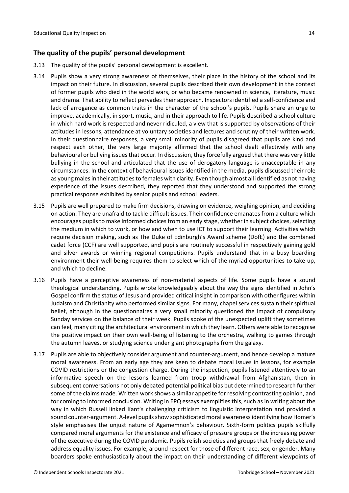# <span id="page-13-0"></span>**The quality of the pupils' personal development**

- 3.13 The quality of the pupils' personal development is excellent.
- 3.14 Pupils show a very strong awareness of themselves, their place in the history of the school and its impact on their future. In discussion, several pupils described their own development in the context of former pupils who died in the world wars, or who became renowned in science, literature, music and drama. That ability to reflect pervades their approach. Inspectors identified a self-confidence and lack of arrogance as common traits in the character of the school's pupils. Pupils share an urge to improve, academically, in sport, music, and in their approach to life. Pupils described a school culture in which hard work is respected and never ridiculed, a view that is supported by observations of their attitudes in lessons, attendance at voluntary societies and lectures and scrutiny of their written work. In their questionnaire responses, a very small minority of pupils disagreed that pupils are kind and respect each other, the very large majority affirmed that the school dealt effectively with any behavioural or bullying issues that occur. In discussion, they forcefully argued that there was very little bullying in the school and articulated that the use of derogatory language is unacceptable in any circumstances. In the context of behavioural issues identified in the media, pupils discussed their role as young males in their attitudes to females with clarity. Even though almost all identified as not having experience of the issues described, they reported that they understood and supported the strong practical response exhibited by senior pupils and school leaders.
- 3.15 Pupils are well prepared to make firm decisions, drawing on evidence, weighing opinion, and deciding on action. They are unafraid to tackle difficult issues. Their confidence emanates from a culture which encourages pupils to make informed choices from an early stage, whether in subject choices, selecting the medium in which to work, or how and when to use ICT to support their learning. Activities which require decision making, such as The Duke of Edinburgh's Award scheme (DofE) and the combined cadet force (CCF) are well supported, and pupils are routinely successful in respectively gaining gold and silver awards or winning regional competitions. Pupils understand that in a busy boarding environment their well-being requires them to select which of the myriad opportunities to take up, and which to decline.
- 3.16 Pupils have a perceptive awareness of non-material aspects of life. Some pupils have a sound theological understanding. Pupils wrote knowledgeably about the way the signs identified in John's Gospel confirm the status of Jesus and provided critical insight in comparison with other figures within Judaism and Christianity who performed similar signs. For many, chapel services sustain their spiritual belief, although in the questionnaires a very small minority questioned the impact of compulsory Sunday services on the balance of their week. Pupils spoke of the unexpected uplift they sometimes can feel, many citing the architectural environment in which they learn. Others were able to recognise the positive impact on their own well-being of listening to the orchestra, walking to games through the autumn leaves, or studying science under giant photographs from the galaxy.
- 3.17 Pupils are able to objectively consider argument and counter-argument, and hence develop a mature moral awareness. From an early age they are keen to debate moral issues in lessons, for example COVID restrictions or the congestion charge. During the inspection, pupils listened attentively to an informative speech on the lessons learned from troop withdrawal from Afghanistan, then in subsequent conversations not only debated potential political bias but determined to research further some of the claims made. Written work shows a similar appetite for resolving contrasting opinion, and for coming to informed conclusion. Writing in EPQ essays exemplifies this, such as in writing about the way in which Russell linked Kant's challenging criticism to linguistic interpretation and provided a sound counter-argument. A-level pupils show sophisticated moral awareness identifying how Homer's style emphasises the unjust nature of Agamemnon's behaviour. Sixth-form politics pupils skilfully compared moral arguments for the existence and efficacy of pressure groups or the increasing power of the executive during the COVID pandemic. Pupils relish societies and groups that freely debate and address equality issues. For example, around respect for those of different race, sex, or gender. Many boarders spoke enthusiastically about the impact on their understanding of different viewpoints of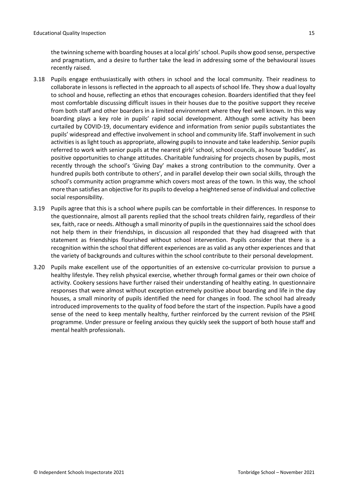the twinning scheme with boarding houses at a local girls'school. Pupilsshow good sense, perspective and pragmatism, and a desire to further take the lead in addressing some of the behavioural issues recently raised.

- 3.18 Pupils engage enthusiastically with others in school and the local community. Their readiness to collaborate in lessons is reflected in the approach to all aspects of school life. They show a dual loyalty to school and house, reflecting an ethos that encourages cohesion. Boarders identified that they feel most comfortable discussing difficult issues in their houses due to the positive support they receive from both staff and other boarders in a limited environment where they feel well known. In this way boarding plays a key role in pupils' rapid social development. Although some activity has been curtailed by COVID-19, documentary evidence and information from senior pupils substantiates the pupils' widespread and effective involvement in school and community life. Staff involvement in such activities is as light touch as appropriate, allowing pupils to innovate and take leadership. Senior pupils referred to work with senior pupils at the nearest girls' school, school councils, as house 'buddies', as positive opportunities to change attitudes. Charitable fundraising for projects chosen by pupils, most recently through the school's 'Giving Day' makes a strong contribution to the community. Over a hundred pupils both contribute to others', and in parallel develop their own social skills, through the school's community action programme which covers most areas of the town. In this way, the school more than satisfies an objective for its pupils to develop a heightened sense of individual and collective social responsibility.
- 3.19 Pupils agree that this is a school where pupils can be comfortable in their differences. In response to the questionnaire, almost all parents replied that the school treats children fairly, regardless of their sex, faith, race or needs. Although a small minority of pupils in the questionnaires said the school does not help them in their friendships, in discussion all responded that they had disagreed with that statement as friendships flourished without school intervention. Pupils consider that there is a recognition within the school that different experiences are as valid as any other experiences and that the variety of backgrounds and cultures within the school contribute to their personal development.
- 3.20 Pupils make excellent use of the opportunities of an extensive co-curricular provision to pursue a healthy lifestyle. They relish physical exercise, whether through formal games or their own choice of activity. Cookery sessions have further raised their understanding of healthy eating. In questionnaire responses that were almost without exception extremely positive about boarding and life in the day houses, a small minority of pupils identified the need for changes in food. The school had already introduced improvements to the quality of food before the start of the inspection. Pupils have a good sense of the need to keep mentally healthy, further reinforced by the current revision of the PSHE programme. Under pressure or feeling anxious they quickly seek the support of both house staff and mental health professionals.